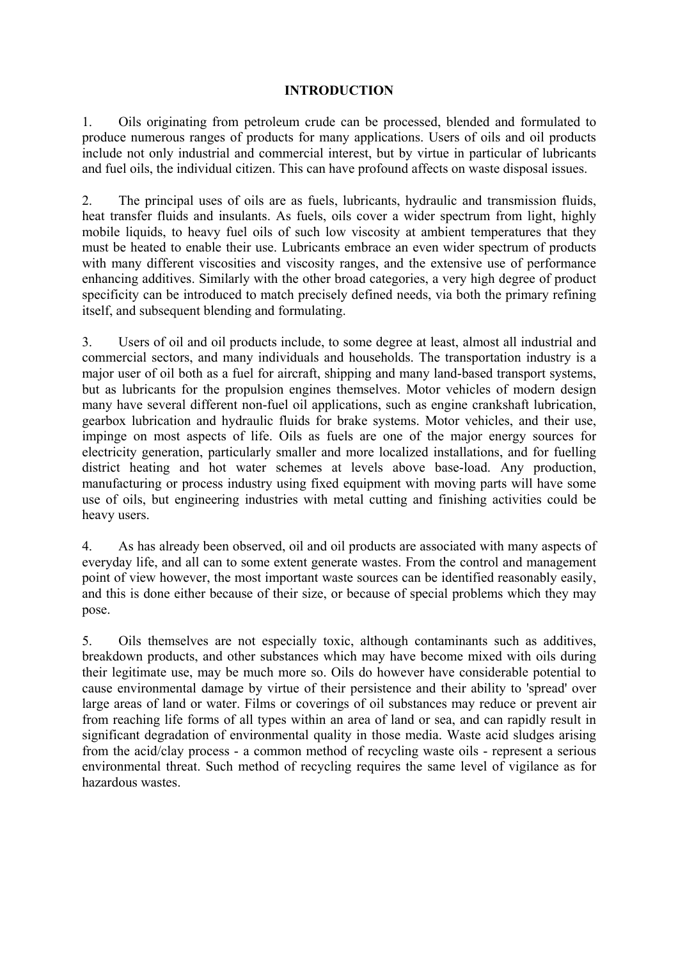#### **INTRODUCTION**

1. Oils originating from petroleum crude can be processed, blended and formulated to produce numerous ranges of products for many applications. Users of oils and oil products include not only industrial and commercial interest, but by virtue in particular of lubricants and fuel oils, the individual citizen. This can have profound affects on waste disposal issues.

2. The principal uses of oils are as fuels, lubricants, hydraulic and transmission fluids, heat transfer fluids and insulants. As fuels, oils cover a wider spectrum from light, highly mobile liquids, to heavy fuel oils of such low viscosity at ambient temperatures that they must be heated to enable their use. Lubricants embrace an even wider spectrum of products with many different viscosities and viscosity ranges, and the extensive use of performance enhancing additives. Similarly with the other broad categories, a very high degree of product specificity can be introduced to match precisely defined needs, via both the primary refining itself, and subsequent blending and formulating.

3. Users of oil and oil products include, to some degree at least, almost all industrial and commercial sectors, and many individuals and households. The transportation industry is a major user of oil both as a fuel for aircraft, shipping and many land-based transport systems, but as lubricants for the propulsion engines themselves. Motor vehicles of modern design many have several different non-fuel oil applications, such as engine crankshaft lubrication, gearbox lubrication and hydraulic fluids for brake systems. Motor vehicles, and their use, impinge on most aspects of life. Oils as fuels are one of the major energy sources for electricity generation, particularly smaller and more localized installations, and for fuelling district heating and hot water schemes at levels above base-load. Any production, manufacturing or process industry using fixed equipment with moving parts will have some use of oils, but engineering industries with metal cutting and finishing activities could be heavy users.

4. As has already been observed, oil and oil products are associated with many aspects of everyday life, and all can to some extent generate wastes. From the control and management point of view however, the most important waste sources can be identified reasonably easily, and this is done either because of their size, or because of special problems which they may pose.

5. Oils themselves are not especially toxic, although contaminants such as additives, breakdown products, and other substances which may have become mixed with oils during their legitimate use, may be much more so. Oils do however have considerable potential to cause environmental damage by virtue of their persistence and their ability to 'spread' over large areas of land or water. Films or coverings of oil substances may reduce or prevent air from reaching life forms of all types within an area of land or sea, and can rapidly result in significant degradation of environmental quality in those media. Waste acid sludges arising from the acid/clay process - a common method of recycling waste oils - represent a serious environmental threat. Such method of recycling requires the same level of vigilance as for hazardous wastes.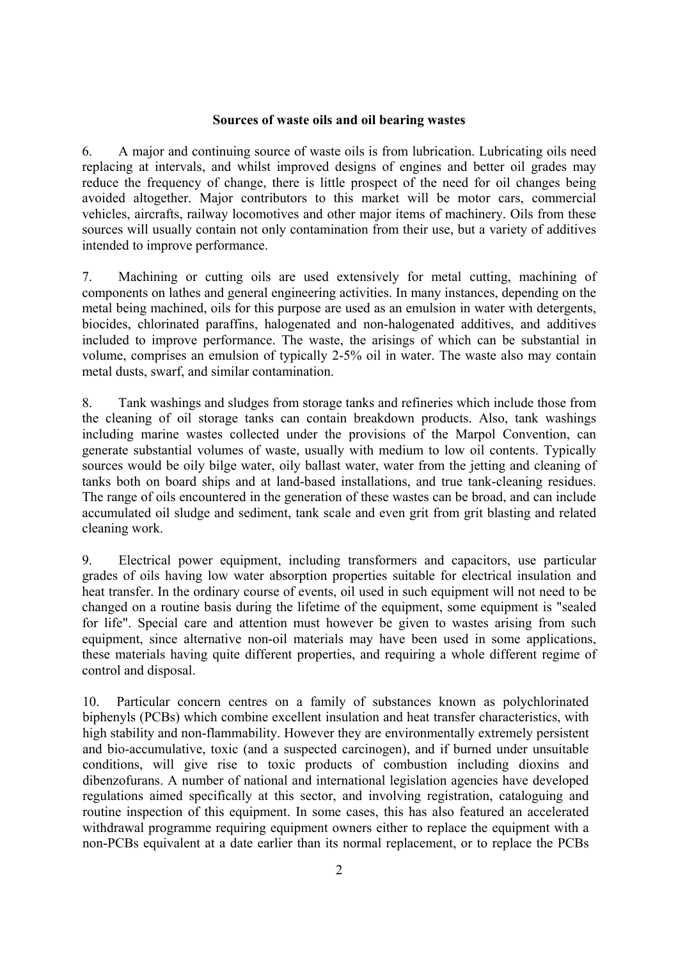#### **Sources of waste oils and oil bearing wastes**

6. A major and continuing source of waste oils is from lubrication. Lubricating oils need replacing at intervals, and whilst improved designs of engines and better oil grades may reduce the frequency of change, there is little prospect of the need for oil changes being avoided altogether. Major contributors to this market will be motor cars, commercial vehicles, aircrafts, railway locomotives and other major items of machinery. Oils from these sources will usually contain not only contamination from their use, but a variety of additives intended to improve performance.

7. Machining or cutting oils are used extensively for metal cutting, machining of components on lathes and general engineering activities. In many instances, depending on the metal being machined, oils for this purpose are used as an emulsion in water with detergents, biocides, chlorinated paraffins, halogenated and non-halogenated additives, and additives included to improve performance. The waste, the arisings of which can be substantial in volume, comprises an emulsion of typically 2-5% oil in water. The waste also may contain metal dusts, swarf, and similar contamination.

8. Tank washings and sludges from storage tanks and refineries which include those from the cleaning of oil storage tanks can contain breakdown products. Also, tank washings including marine wastes collected under the provisions of the Marpol Convention, can generate substantial volumes of waste, usually with medium to low oil contents. Typically sources would be oily bilge water, oily ballast water, water from the jetting and cleaning of tanks both on board ships and at land-based installations, and true tank-cleaning residues. The range of oils encountered in the generation of these wastes can be broad, and can include accumulated oil sludge and sediment, tank scale and even grit from grit blasting and related cleaning work.

9. Electrical power equipment, including transformers and capacitors, use particular grades of oils having low water absorption properties suitable for electrical insulation and heat transfer. In the ordinary course of events, oil used in such equipment will not need to be changed on a routine basis during the lifetime of the equipment, some equipment is "sealed for life". Special care and attention must however be given to wastes arising from such equipment, since alternative non-oil materials may have been used in some applications, these materials having quite different properties, and requiring a whole different regime of control and disposal.

10. Particular concern centres on a family of substances known as polychlorinated biphenyls (PCBs) which combine excellent insulation and heat transfer characteristics, with high stability and non-flammability. However they are environmentally extremely persistent and bio-accumulative, toxic (and a suspected carcinogen), and if burned under unsuitable conditions, will give rise to toxic products of combustion including dioxins and dibenzofurans. A number of national and international legislation agencies have developed regulations aimed specifically at this sector, and involving registration, cataloguing and routine inspection of this equipment. In some cases, this has also featured an accelerated withdrawal programme requiring equipment owners either to replace the equipment with a non-PCBs equivalent at a date earlier than its normal replacement, or to replace the PCBs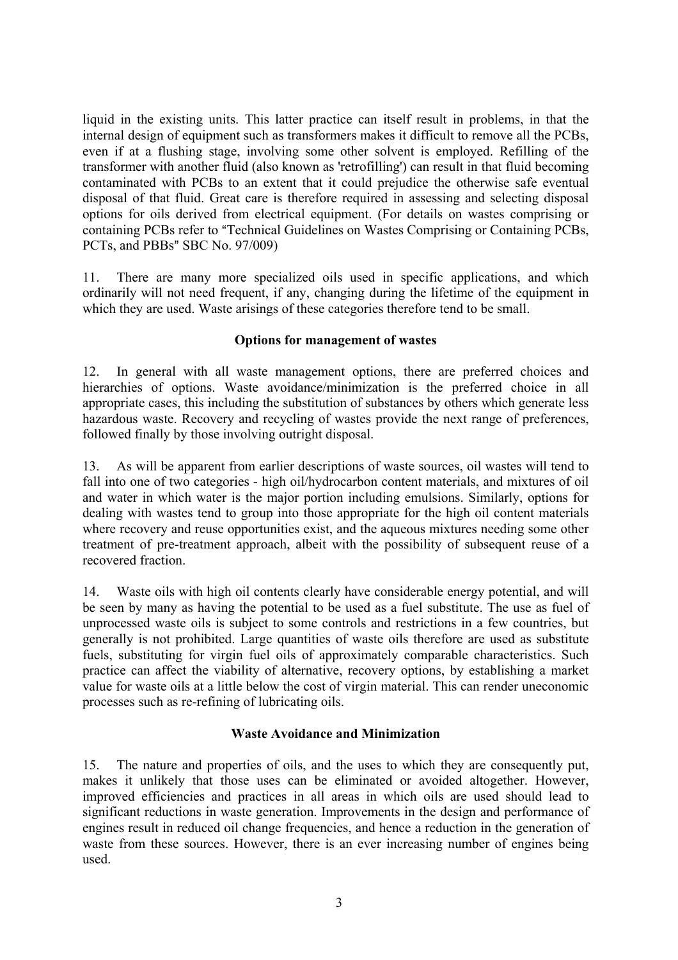liquid in the existing units. This latter practice can itself result in problems, in that the internal design of equipment such as transformers makes it difficult to remove all the PCBs, even if at a flushing stage, involving some other solvent is employed. Refilling of the transformer with another fluid (also known as 'retrofilling') can result in that fluid becoming contaminated with PCBs to an extent that it could prejudice the otherwise safe eventual disposal of that fluid. Great care is therefore required in assessing and selecting disposal options for oils derived from electrical equipment. (For details on wastes comprising or containing PCBs refer to "Technical Guidelines on Wastes Comprising or Containing PCBs, PCTs, and PBBs" SBC No.  $97/009$ )

11. There are many more specialized oils used in specific applications, and which ordinarily will not need frequent, if any, changing during the lifetime of the equipment in which they are used. Waste arisings of these categories therefore tend to be small.

#### **Options for management of wastes**

12. In general with all waste management options, there are preferred choices and hierarchies of options. Waste avoidance/minimization is the preferred choice in all appropriate cases, this including the substitution of substances by others which generate less hazardous waste. Recovery and recycling of wastes provide the next range of preferences, followed finally by those involving outright disposal.

13. As will be apparent from earlier descriptions of waste sources, oil wastes will tend to fall into one of two categories - high oil/hydrocarbon content materials, and mixtures of oil and water in which water is the major portion including emulsions. Similarly, options for dealing with wastes tend to group into those appropriate for the high oil content materials where recovery and reuse opportunities exist, and the aqueous mixtures needing some other treatment of pre-treatment approach, albeit with the possibility of subsequent reuse of a recovered fraction.

14. Waste oils with high oil contents clearly have considerable energy potential, and will be seen by many as having the potential to be used as a fuel substitute. The use as fuel of unprocessed waste oils is subject to some controls and restrictions in a few countries, but generally is not prohibited. Large quantities of waste oils therefore are used as substitute fuels, substituting for virgin fuel oils of approximately comparable characteristics. Such practice can affect the viability of alternative, recovery options, by establishing a market value for waste oils at a little below the cost of virgin material. This can render uneconomic processes such as re-refining of lubricating oils.

# **Waste Avoidance and Minimization**

15. The nature and properties of oils, and the uses to which they are consequently put, makes it unlikely that those uses can be eliminated or avoided altogether. However, improved efficiencies and practices in all areas in which oils are used should lead to significant reductions in waste generation. Improvements in the design and performance of engines result in reduced oil change frequencies, and hence a reduction in the generation of waste from these sources. However, there is an ever increasing number of engines being used.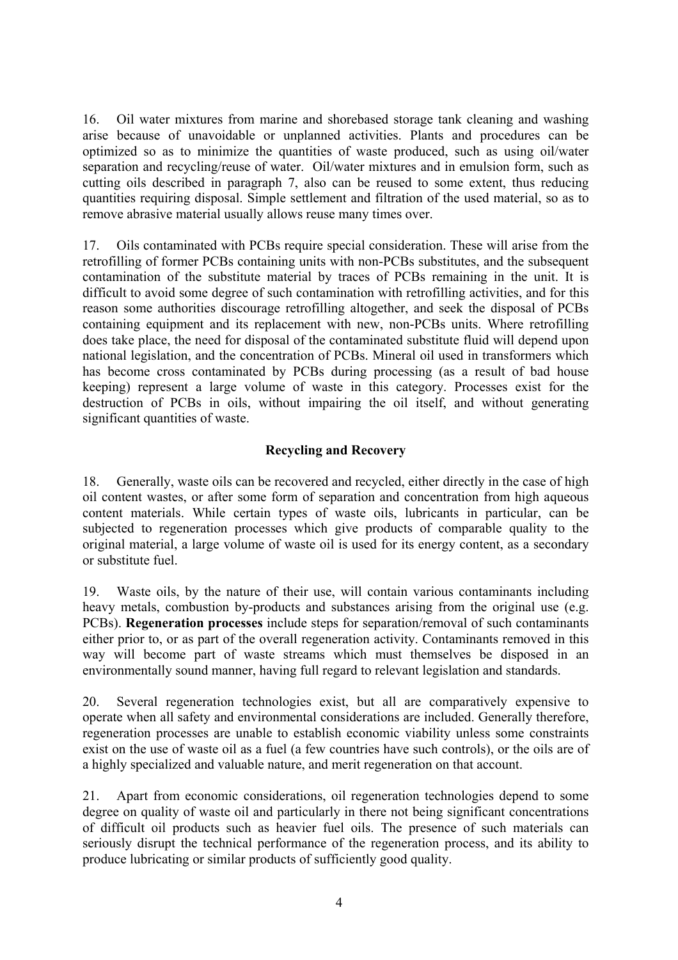16. Oil water mixtures from marine and shorebased storage tank cleaning and washing arise because of unavoidable or unplanned activities. Plants and procedures can be optimized so as to minimize the quantities of waste produced, such as using oil/water separation and recycling/reuse of water. Oil/water mixtures and in emulsion form, such as cutting oils described in paragraph 7, also can be reused to some extent, thus reducing quantities requiring disposal. Simple settlement and filtration of the used material, so as to remove abrasive material usually allows reuse many times over.

17. Oils contaminated with PCBs require special consideration. These will arise from the retrofilling of former PCBs containing units with non-PCBs substitutes, and the subsequent contamination of the substitute material by traces of PCBs remaining in the unit. It is difficult to avoid some degree of such contamination with retrofilling activities, and for this reason some authorities discourage retrofilling altogether, and seek the disposal of PCBs containing equipment and its replacement with new, non-PCBs units. Where retrofilling does take place, the need for disposal of the contaminated substitute fluid will depend upon national legislation, and the concentration of PCBs. Mineral oil used in transformers which has become cross contaminated by PCBs during processing (as a result of bad house keeping) represent a large volume of waste in this category. Processes exist for the destruction of PCBs in oils, without impairing the oil itself, and without generating significant quantities of waste.

# **Recycling and Recovery**

18. Generally, waste oils can be recovered and recycled, either directly in the case of high oil content wastes, or after some form of separation and concentration from high aqueous content materials. While certain types of waste oils, lubricants in particular, can be subjected to regeneration processes which give products of comparable quality to the original material, a large volume of waste oil is used for its energy content, as a secondary or substitute fuel.

19. Waste oils, by the nature of their use, will contain various contaminants including heavy metals, combustion by-products and substances arising from the original use (e.g. PCBs). **Regeneration processes** include steps for separation/removal of such contaminants either prior to, or as part of the overall regeneration activity. Contaminants removed in this way will become part of waste streams which must themselves be disposed in an environmentally sound manner, having full regard to relevant legislation and standards.

20. Several regeneration technologies exist, but all are comparatively expensive to operate when all safety and environmental considerations are included. Generally therefore, regeneration processes are unable to establish economic viability unless some constraints exist on the use of waste oil as a fuel (a few countries have such controls), or the oils are of a highly specialized and valuable nature, and merit regeneration on that account.

21. Apart from economic considerations, oil regeneration technologies depend to some degree on quality of waste oil and particularly in there not being significant concentrations of difficult oil products such as heavier fuel oils. The presence of such materials can seriously disrupt the technical performance of the regeneration process, and its ability to produce lubricating or similar products of sufficiently good quality.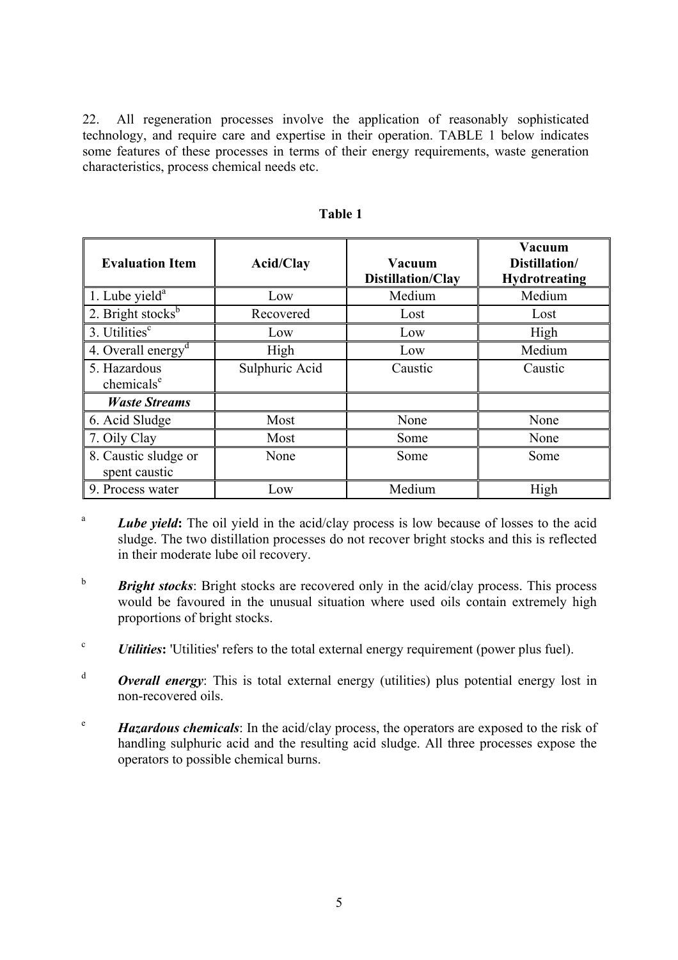22. All regeneration processes involve the application of reasonably sophisticated technology, and require care and expertise in their operation. TABLE 1 below indicates some features of these processes in terms of their energy requirements, waste generation characteristics, process chemical needs etc.

| <b>Evaluation Item</b>                 | <b>Acid/Clay</b> | <b>Vacuum</b><br><b>Distillation/Clay</b> | Vacuum<br>Distillation/<br><b>Hydrotreating</b> |
|----------------------------------------|------------------|-------------------------------------------|-------------------------------------------------|
| 1. Lube yield $a$                      | Low              | Medium                                    | Medium                                          |
| 2. Bright stocks $b$                   | Recovered        | Lost                                      | Lost                                            |
| 3. Utilities <sup>c</sup>              | Low              | Low                                       | High                                            |
| 4. Overall energy <sup>d</sup>         | High             | Low                                       | Medium                                          |
| 5. Hazardous<br>chemicals <sup>e</sup> | Sulphuric Acid   | Caustic                                   | Caustic                                         |
| <b>Waste Streams</b>                   |                  |                                           |                                                 |
| 6. Acid Sludge                         | Most             | None                                      | None                                            |
| 7. Oily Clay                           | Most             | Some                                      | None                                            |
| 8. Caustic sludge or<br>spent caustic  | None             | Some                                      | Some                                            |
| 9. Process water                       | Low              | Medium                                    | High                                            |

 **Table 1** 

- <sup>a</sup> *Lube yield*: The oil yield in the acid/clay process is low because of losses to the acid sludge. The two distillation processes do not recover bright stocks and this is reflected in their moderate lube oil recovery.
- <sup>b</sup> *Bright stocks*: Bright stocks are recovered only in the acid/clay process. This process would be favoured in the unusual situation where used oils contain extremely high proportions of bright stocks.
- <sup>c</sup> *Utilities***:** 'Utilities' refers to the total external energy requirement (power plus fuel).
- $\alpha$ <sup>d</sup> **Overall energy**: This is total external energy (utilities) plus potential energy lost in non-recovered oils.
- <sup>e</sup>*Hazardous chemicals*: In the acid/clay process, the operators are exposed to the risk of handling sulphuric acid and the resulting acid sludge. All three processes expose the operators to possible chemical burns.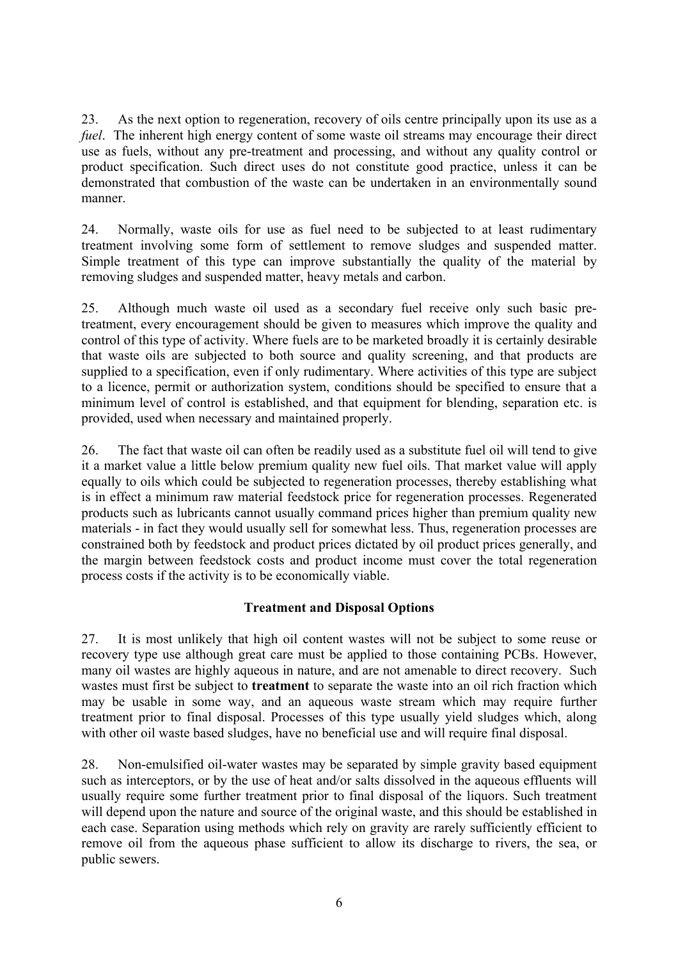23. As the next option to regeneration, recovery of oils centre principally upon its use as a *fuel*. The inherent high energy content of some waste oil streams may encourage their direct use as fuels, without any pre-treatment and processing, and without any quality control or product specification. Such direct uses do not constitute good practice, unless it can be demonstrated that combustion of the waste can be undertaken in an environmentally sound manner.

24. Normally, waste oils for use as fuel need to be subjected to at least rudimentary treatment involving some form of settlement to remove sludges and suspended matter. Simple treatment of this type can improve substantially the quality of the material by removing sludges and suspended matter, heavy metals and carbon.

25. Although much waste oil used as a secondary fuel receive only such basic pretreatment, every encouragement should be given to measures which improve the quality and control of this type of activity. Where fuels are to be marketed broadly it is certainly desirable that waste oils are subjected to both source and quality screening, and that products are supplied to a specification, even if only rudimentary. Where activities of this type are subject to a licence, permit or authorization system, conditions should be specified to ensure that a minimum level of control is established, and that equipment for blending, separation etc. is provided, used when necessary and maintained properly.

26. The fact that waste oil can often be readily used as a substitute fuel oil will tend to give it a market value a little below premium quality new fuel oils. That market value will apply equally to oils which could be subjected to regeneration processes, thereby establishing what is in effect a minimum raw material feedstock price for regeneration processes. Regenerated products such as lubricants cannot usually command prices higher than premium quality new materials - in fact they would usually sell for somewhat less. Thus, regeneration processes are constrained both by feedstock and product prices dictated by oil product prices generally, and the margin between feedstock costs and product income must cover the total regeneration process costs if the activity is to be economically viable.

# **Treatment and Disposal Options**

27. It is most unlikely that high oil content wastes will not be subject to some reuse or recovery type use although great care must be applied to those containing PCBs. However, many oil wastes are highly aqueous in nature, and are not amenable to direct recovery. Such wastes must first be subject to **treatment** to separate the waste into an oil rich fraction which may be usable in some way, and an aqueous waste stream which may require further treatment prior to final disposal. Processes of this type usually yield sludges which, along with other oil waste based sludges, have no beneficial use and will require final disposal.

28. Non-emulsified oil-water wastes may be separated by simple gravity based equipment such as interceptors, or by the use of heat and/or salts dissolved in the aqueous effluents will usually require some further treatment prior to final disposal of the liquors. Such treatment will depend upon the nature and source of the original waste, and this should be established in each case. Separation using methods which rely on gravity are rarely sufficiently efficient to remove oil from the aqueous phase sufficient to allow its discharge to rivers, the sea, or public sewers.